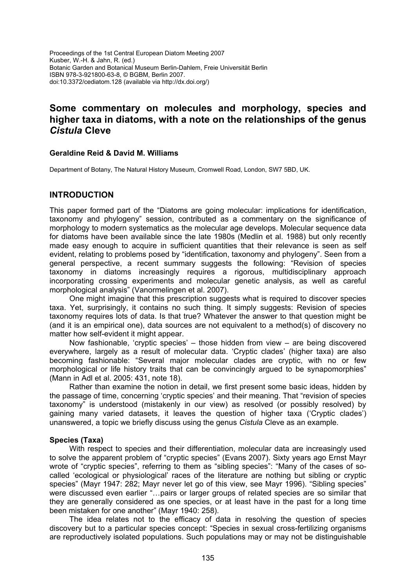Proceedings of the 1st Central European Diatom Meeting 2007 Kusber, W.-H. & Jahn, R. (ed.) Botanic Garden and Botanical Museum Berlin-Dahlem, Freie Universität Berlin ISBN 978-3-921800-63-8, © BGBM, Berlin 2007. doi:10.3372/cediatom.128 (available via http://dx.doi.org/)

# **Some commentary on molecules and morphology, species and higher taxa in diatoms, with a note on the relationships of the genus**  *Cistula* **Cleve**

#### **Geraldine Reid & David M. Williams**

Department of Botany, The Natural History Museum, Cromwell Road, London, SW7 5BD, UK.

# **INTRODUCTION**

This paper formed part of the "Diatoms are going molecular: implications for identification, taxonomy and phylogeny" session, contributed as a commentary on the significance of morphology to modern systematics as the molecular age develops. Molecular sequence data for diatoms have been available since the late 1980s (Medlin et al. 1988) but only recently made easy enough to acquire in sufficient quantities that their relevance is seen as self evident, relating to problems posed by "identification, taxonomy and phylogeny". Seen from a general perspective, a recent summary suggests the following: "Revision of species taxonomy in diatoms increasingly requires a rigorous, multidisciplinary approach incorporating crossing experiments and molecular genetic analysis, as well as careful morphological analysis" (Vanormelingen et al. 2007).

One might imagine that this prescription suggests what is required to discover species taxa. Yet, surprisingly, it contains no such thing. It simply suggests: Revision of species taxonomy requires lots of data. Is that true? Whatever the answer to that question might be (and it is an empirical one), data sources are not equivalent to a method(s) of discovery no matter how self-evident it might appear.

Now fashionable, 'cryptic species' – those hidden from view – are being discovered everywhere, largely as a result of molecular data. 'Cryptic clades' (higher taxa) are also becoming fashionable: "Several major molecular clades are cryptic, with no or few morphological or life history traits that can be convincingly argued to be synapomorphies" (Mann in Adl et al. 2005: 431, note 18).

Rather than examine the notion in detail, we first present some basic ideas, hidden by the passage of time, concerning 'cryptic species' and their meaning. That "revision of species taxonomy" is understood (mistakenly in our view) as resolved (or possibly resolved) by gaining many varied datasets, it leaves the question of higher taxa ('Cryptic clades') unanswered, a topic we briefly discuss using the genus *Cistula* Cleve as an example.

## **Species (Taxa)**

With respect to species and their differentiation, molecular data are increasingly used to solve the apparent problem of "cryptic species" (Evans 2007). Sixty years ago Ernst Mayr wrote of "cryptic species", referring to them as "sibling species": "Many of the cases of socalled 'ecological or physiological' races of the literature are nothing but sibling or cryptic species" (Mayr 1947: 282; Mayr never let go of this view, see Mayr 1996). "Sibling species" were discussed even earlier "…pairs or larger groups of related species are so similar that they are generally considered as one species, or at least have in the past for a long time been mistaken for one another" (Mayr 1940: 258).

The idea relates not to the efficacy of data in resolving the question of species discovery but to a particular species concept: "Species in sexual cross-fertilizing organisms are reproductively isolated populations. Such populations may or may not be distinguishable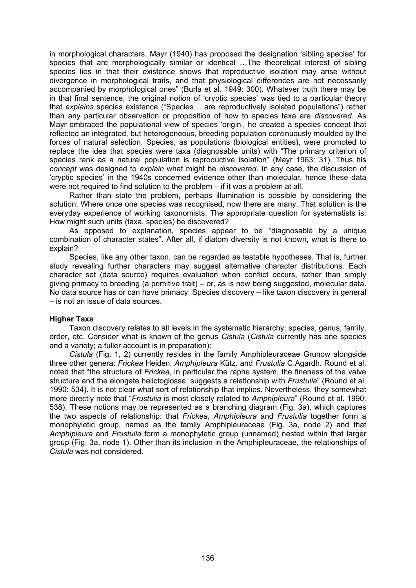in morphological characters. Mayr (1940) has proposed the designation 'sibling species' for species that are morphologically similar or identical …The theoretical interest of sibling species lies in that their existence shows that reproductive isolation may arise without divergence in morphological traits, and that physiological differences are not necessarily accompanied by morphological ones" (Burla et al. 1949: 300). Whatever truth there may be in that final sentence, the original notion of 'cryptic species' was tied to a particular theory that *explains* species existence ("Species …are reproductively isolated populations") rather than any particular observation or proposition of how to species taxa are *discovered*. As Mayr embraced the populational view of species 'origin', he created a species concept that reflected an integrated, but heterogeneous, breeding population continuously moulded by the forces of natural selection. Species, as populations (biological entities), were promoted to replace the idea that species were taxa (diagnosable units) with "The primary criterion of species rank as a natural population is reproductive isolation" (Mayr 1963: 31). Thus his *concept* was designed to *explain* what might be *discovered*. In any case, the discussion of 'cryptic species' in the 1940s concerned evidence other than molecular, hence these data were not required to find solution to the problem – if it was a problem at all.

Rather than state the problem, perhaps illumination is possible by considering the solution: Where once one species was recognised, now there are many. That solution is the everyday experience of working taxonomists. The appropriate question for systematists is: How might such units (taxa, species) be discovered?

As opposed to explanation, species appear to be "diagnosable by a unique combination of character states". After all, if diatom diversity is not known, what is there to explain?

Species, like any other taxon, can be regarded as testable hypotheses. That is, further study revealing further characters may suggest alternative character distributions. Each character set (data source) requires evaluation when conflict occurs, rather than simply giving primacy to breeding (a primitive trait) – or, as is now being suggested, molecular data. No data source has or can have primacy. Species discovery – like taxon discovery in general – is not an issue of data sources.

## **Higher Taxa**

Taxon discovery relates to all levels in the systematic hierarchy: species, genus, family, order, etc. Consider what is known of the genus *Cistula* (*Cistula* currently has one species and a variety; a fuller account is in preparation):

*Cistula* (Fig. 1, 2) currently resides in the family Amphipleuraceae Grunow alongside three other genera: *Frickea* Heiden, *Amphipleura* Kütz. and *Frustulia* C.Agardh. Round et al. noted that "the structure of *Frickea*, in particular the raphe system, the fineness of the valve structure and the elongate helictoglossa, suggests a relationship with *Frustulia*" (Round et al. 1990: 534). It is not clear what sort of relationship that implies. Nevertheless, they somewhat more directly note that "*Frustulia* is most closely related to *Amphipleura*" (Round et al. 1990: 538). These notions may be represented as a branching diagram (Fig. 3a), which captures the two aspects of relationship: that *Frickea*, *Amphipleura* and *Frustulia* together form a monophyletic group, named as the family Amphipleuraceae (Fig. 3a, node 2) and that *Amphipleura* and *Frustulia* form a monophyletic group (unnamed) nested within that larger group (Fig. 3a, node 1). Other than its inclusion in the Amphipleuraceae, the relationships of *Cistula* was not considered.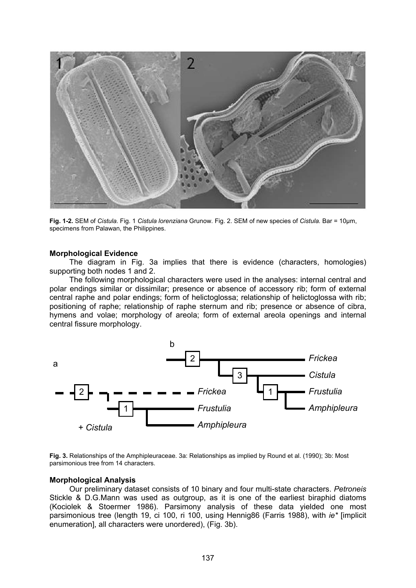

**Fig. 1-2.** SEM of *Cistula.* Fig. 1 *Cistula lorenziana* Grunow. Fig. 2. SEM of new species of *Cistula.* Bar = 10μm, specimens from Palawan, the Philippines.

#### **Morphological Evidence**

The diagram in Fig. 3a implies that there is evidence (characters, homologies) supporting both nodes 1 and 2.

The following morphological characters were used in the analyses: internal central and polar endings similar or dissimilar; presence or absence of accessory rib; form of external central raphe and polar endings; form of helictoglossa; relationship of helictoglossa with rib; positioning of raphe; relationship of raphe sternum and rib; presence or absence of cibra, hymens and volae; morphology of areola; form of external areola openings and internal central fissure morphology.



**Fig. 3.** Relationships of the Amphipleuraceae. 3a: Relationships as implied by Round et al. (1990); 3b: Most parsimonious tree from 14 characters.

#### **Morphological Analysis**

Our preliminary dataset consists of 10 binary and four multi-state characters. *Petroneis* Stickle & D.G.Mann was used as outgroup, as it is one of the earliest biraphid diatoms (Kociolek & Stoermer 1986). Parsimony analysis of these data yielded one most parsimonious tree (length 19, ci 100, ri 100, using Hennig86 (Farris 1988), with *ie\** [implicit enumeration], all characters were unordered), (Fig. 3b).